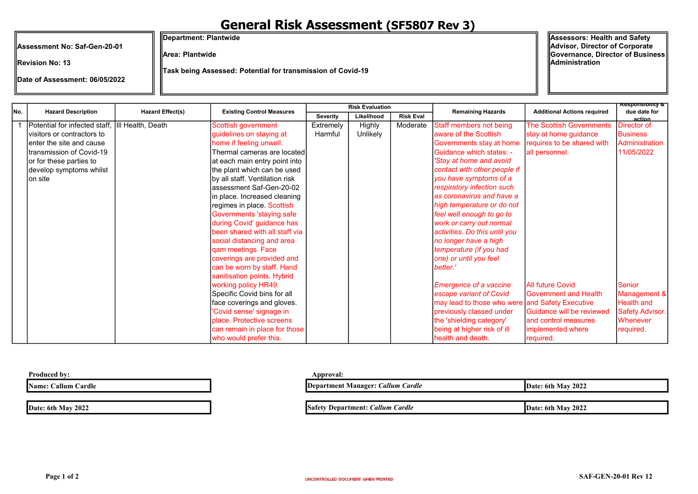## General Risk Assessment (SF5807 Rev 3)

Assessment No: Saf-Gen-20-01

Date of Assessment: 06/05/2022

Revision No: 13

Department: Plantwide

Area: Plantwide

Task being Assessed: Potential for transmission of Covid-19

Assessors: Health and Safety Advisor, Director of Corporate Governance, Director of Business Administration

action

Severity | Likelihood | Risk Eval 1 | Potential for infected staff, III Health. Death visitors or contractors to enter the site and cause transmission of Covid-19 or for these parties to develop symptoms whilst on site **Scottish government** guidelines on staying at home if feeling unwell. Thermal cameras are located at each main entry point into the plant which can be used by all staff. Ventilation risk assessment Saf-Gen-20-02 in place. Increased cleaning regimes in place. Scottish Governments 'staying safe during Covid' guidance has been shared with all staff via social distancing and area qam meetings. Face coverings are provided and can be worn by staff. Hand sanitisation points. Hybrid working policy HR49. Specific Covid bins for all face coverings and gloves. 'Covid sense' signage in place. Protective screens can remain in place for those who would prefer this. Extremely Harmful Highly Unlikely Moderate Staff members not being aware of the Scottish Governments stay at home Guidance which states: - 'Stay at home and avoid contact with other people if you have symptoms of a respiratory infection such as coronavirus and have a high temperature or do not feel well enough to go to work or carry out normal activities. Do this until you no longer have a high temperature (if you had one) or until you feel better.' Emergence of a vaccine escape variant of Covid may lead to those who were previously classed under the 'shielding category' being at higher risk of ill health and death. The Scottish Governments stay at home guidance requires to be shared with all personnel. All future Covid Government and Health and Safety Executive Guidance will be reviewed and control measures implemented where required. Director of **Business** Administration 11/05/2022 Senior Management & Health and Safety Advisor. **Whenever** required. Remaining Hazards **Additional Actions required** Responsibility & due date for Hazard Description Risk Evaluation Hazard Effect(s) Existing Control Measures No.

Produced by: Approval: Approval: Approval: Approval: Approval: Approval: Approval: Approval: Approval: Approval: Approval: Approval: Approval: Approval: Approval: Approval: Approval: Approval: Approval: Approval: Approval:

Name: Callum Cardle

Date: 6th May 2022

| Department Manager: Callum Cardle       | Date: 6th May 2022 |
|-----------------------------------------|--------------------|
|                                         |                    |
| <b>Safety Department: Callum Cardle</b> | Date: 6th May 2022 |